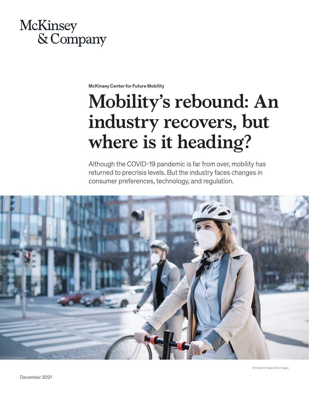

McKinsey Center for Future Mobility

# **Mobility's rebound: An industry recovers, but where is it heading?**

Although the COVID-19 pandemic is far from over, mobility has returned to precrisis levels. But the industry faces changes in consumer preferences, technology, and regulation.

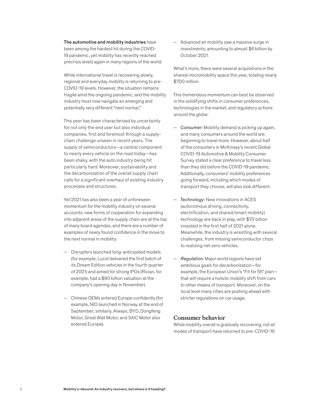The automotive and mobility industries have been among the hardest hit during the COVID-19 pandemic, yet mobility has recently reached precrisis levels again in many regions of the world.

While international travel is recovering slowly, regional and everyday mobility is returning to pre-COVID-19 levels. However, the situation remains fragile amid the ongoing pandemic, and the mobility industry must now navigate an emerging and potentially very different "next normal."

This year has been characterized by uncertainty for not only the end user but also individual companies, first and foremost through a supplychain challenge unseen in recent years. The supply of semiconductors—a central component to nearly every vehicle on the road today—has been shaky, with the auto industry being hit particularly hard. Moreover, sustainability and the decarbonization of the overall supply chain calls for a significant overhaul of existing industry processes and structures.

Yet 2021 has also been a year of unforeseen momentum for the mobility industry on several accounts: new forms of cooperation for expanding into adjacent areas of the supply chain are at the top of many board agendas, and there are a number of examples of newly found confidence in the move to the next normal in mobility:

- Disrupters launched long-anticipated models (for example, Lucid delivered the first batch of its Dream Edition vehicles in the fourth quarter of 2021) and aimed for strong IPOs (Rivian, for example, had a \$90 billion valuation at the company's opening day in November).
- Chinese OEMs entered Europe confidently (for example, NIO launched in Norway at the end of September; similarly, Aiways, BYD, Dongfeng Motor, Great Wall Motor, and SAIC Motor also entered Europe).

— Advanced air mobility saw a massive surge in investments, amounting to almost \$6 billion by October 2021.

What's more, there were several acquisitions in the shared-micromobility space this year, totaling nearly \$700 million.

This tremendous momentum can best be observed in the solidifying shifts in consumer preferences, technologies in the market, and regulatory actions around the globe:

- *Consumer:* Mobility demand is picking up again, and many consumers around the world are beginning to travel more. However, about half of the consumers in McKinsey's recent Global COVID-19 Automotive & Mobility Consumer Survey stated a clear preference to travel less than they did before the COVID-19 pandemic. Additionally, consumers' mobility preferences going forward, including which modes of transport they choose, will also look different.
- *Technology:* New innovations in ACES (autonomous driving, connectivity, electrification, and shared/smart mobility) technology are back in play, with \$70 billion invested in the first half of 2021 alone. Meanwhile, the industry is wrestling with several challenges, from missing semiconductor chips to realizing net-zero vehicles.
- *Regulation:* Major world regions have set ambitious goals for decarbonization—for example, the European Union's "Fit for 55" plan that will require a holistic mobility shift from cars to other means of transport. Moreover, on the local level many cities are pushing ahead with stricter regulations on car usage.

### **Consumer behavior**

While mobility overall is gradually recovering, not all modes of transport have returned to pre-COVID-19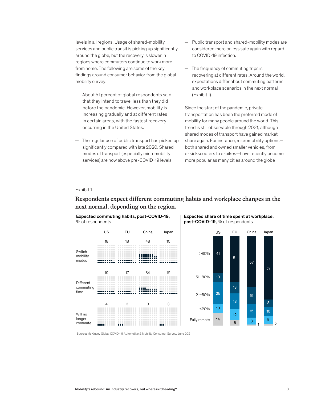levels in all regions. Usage of shared-mobility services and public transit is picking up significantly around the globe, but the recovery is slower in regions where commuters continue to work more from home. The following are some of the key findings around consumer behavior from the global mobility survey:

- About 51 percent of global respondents said that they intend to travel less than they did before the pandemic. However, mobility is increasing gradually and at different rates in certain areas, with the fastest recovery occurring in the United States.
- The regular use of public transport has picked up significantly compared with late 2020. Shared modes of transport (especially micromobility services) are now above pre-COVID-19 levels.
- Public transport and shared-mobility modes are considered more or less safe again with regard to COVID-19 infection.
- The frequency of commuting trips is recovering at different rates. Around the world, expectations differ about commuting patterns and workplace scenarios in the next normal (Exhibit 1).

Since the start of the pandemic, private transportation has been the preferred mode of mobility for many people around the world. This trend is still observable through 2021, although shared modes of transport have gained market share again. For instance, micromobility options both shared and owned smaller vehicles, from e-kickscooters to e-bikes—have recently become more popular as many cities around the globe

#### Exhibit 1

# Respondents expect different commuting habits and workplace changes in the in the next normal, depending on the region. **next normal, depending on the region.**





Expected share of time spent at workplace, post-COVID-19, % of respondents

Source: McKinsey Global COVID-19 Automotive & Mobility Consumer Survey, June 2021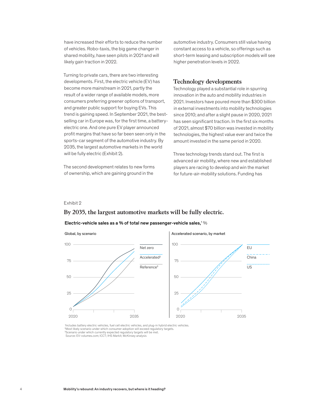have increased their efforts to reduce the number of vehicles. Robo-taxis, the big game changer in shared mobility, have seen pilots in 2021 and will likely gain traction in 2022.

Turning to private cars, there are two interesting developments. First, the electric vehicle (EV) has become more mainstream in 2021, partly the result of a wider range of available models, more consumers preferring greener options of transport, and greater public support for buying EVs. This trend is gaining speed. In September 2021, the bestselling car in Europe was, for the first time, a batteryelectric one. And one pure EV player announced profit margins that have so far been seen only in the sports-car segment of the automotive industry. By 2035, the largest automotive markets in the world will be fully electric (Exhibit 2).

The second development relates to new forms of ownership, which are gaining ground in the

automotive industry. Consumers still value having constant access to a vehicle, so offerings such as short-term leasing and subscription models will see higher penetration levels in 2022.

### **Technology developments**

Technology played a substantial role in spurring innovation in the auto and mobility industries in 2021. Investors have poured more than \$300 billion in external investments into mobility technologies since 2010; and after a slight pause in 2020, 2021 has seen significant traction. In the first six months of 2021, almost \$70 billion was invested in mobility technologies, the highest value ever and twice the amount invested in the same period in 2020.

Three technology trends stand out. The first is advanced air mobility, where new and established players are racing to develop and win the market for future-air-mobility solutions. Funding has

### Exhibit 2

# By 2035, the largest automotive markets will be fully electric. **By 2035, the largest automotive markets will be fully electric.**

#### Electric-vehicle sales as a % of total new passenger-vehicle sales, $1\%$



1 Includes battery electric vehicles, fuel cell electric vehicles, and plug-in hybrid electric vehicles. <sup>2</sup>Most likely scenario under which consumer adoption will exceed regulatory targets. <sup>3</sup>Scenario under which currently expected regulatory targets will be met. Source: EV-volumes.com; ICCT; IHS Markit; McKinsey analysis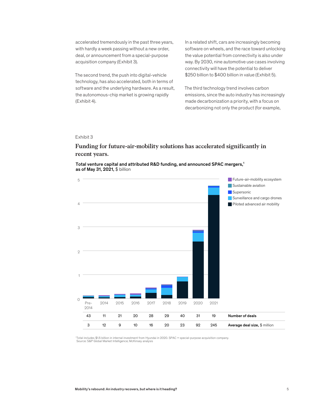accelerated tremendously in the past three years, with hardly a week passing without a new order, deal, or announcement from a special-purpose acquisition company (Exhibit 3).

The second trend, the push into digital-vehicle technology, has also accelerated, both in terms of software and the underlying hardware. As a result, the autonomous-chip market is growing rapidly (Exhibit 4).

In a related shift, cars are increasingly becoming software on wheels, and the race toward unlocking the value potential from connectivity is also under way. By 2030, nine automotive use cases involving connectivity will have the potential to deliver \$250 billion to \$400 billion in value (Exhibit 5).

The third technology trend involves carbon emissions, since the auto industry has increasingly made decarbonization a priority, with a focus on decarbonizing not only the product (for example,

#### Exhibit 3

# Funding for future-air-mobility solutions has accelerated significantly in recent years. **recent years.**

#### Total venture capital and attributed R&D funding, and announced SPAC mergers,<sup>1</sup> as of May 31, 2021, \$ billion



1 Total includes \$1.5 billion in internal investment from Hyundai in 2020. SPAC = special-purpose acquisition company. Source: S&P Global Market Intelligence; McKinsey analysis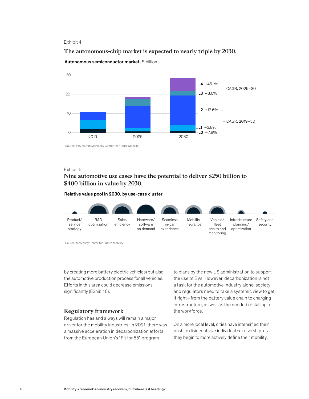### Exhibit 4

# The autonomous-chip market is expected to nearly triple by 2030. **The autonomous-chip market is expected to nearly triple by 2030.**



Autonomous semiconductor market, \$ billion

Source: IHS Markit; McKinsey Center for Future Mobility

# Exhibit 5

# Nine automotive use cases have the potential to deliver \$250 billion to **Nine automotive use cases have the potential to deliver \$250 billion to**  \$400 billion in value by 2030. **\$400 billion in value by 2030.**

#### Relative value pool in 2030, by use-case cluster



Source: McKinsey Center for Future Mobility

by creating more battery electric vehicles) but also the automotive production process for all vehicles. Efforts in this area could decrease emissions significantly (Exhibit 6).

### **Regulatory framework**

Regulation has and always will remain a major driver for the mobility industries. In 2021, there was a massive acceleration in decarbonization efforts, from the European Union's "Fit for 55" program

to plans by the new US administration to support the use of EVs. However, decarbonization is not a task for the automotive industry alone; society and regulators need to take a systemic view to get it right—from the battery value chain to charging infrastructure, as well as the needed reskilling of the workforce.

On a more local level, cities have intensified their push to disincentivize individual car usership, as they begin to more actively define their mobility.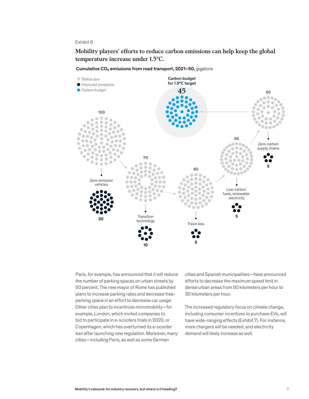#### Exhibit 6

Mobility players' efforts to reduce carbon emissions can help keep the global temperature increase under 1.5°C. **temperature increase under 1.5°C.**

Cumulative  $CO<sub>2</sub>$  emissions from road transport, 2021–50, gigatons



Paris, for example, has announced that it will reduce the number of parking spaces on urban streets by 50 percent. The new mayor of Rome has published plans to increase parking rates and decrease freeparking space in an effort to decrease car usage. Other cities plan to incentivize micromobility—for example, London, which invited companies to bid to participate in e-scooters trials in 2020, or Copenhagen, which has overturned its e-scooter ban after launching new regulation. Moreover, many cities—including Paris, as well as some German

cities and Spanish municipalities—have announced efforts to decrease the maximum speed limit in dense urban areas from 50 kilometers per hour to 30 kilometers per hour.

The increased regulatory focus on climate change, including consumer incentives to purchase EVs, will have wide-ranging effects (Exhibit 7). For instance, more chargers will be needed, and electricity demand will likely increase as well.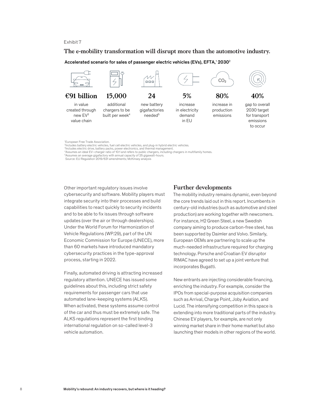### Exhibit 7

# The e-mobility transformation will disrupt more than the automotive industry. **The e-mobility transformation will disrupt more than the automotive industry.**

Accelerated scenario for sales of passenger electric vehicles (EVs), EFTA, $^{\rm t}$  2030 $^{\rm 2}$ 



1 European Free Trade Association.

Other important regulatory issues involve cybersecurity and software. Mobility players must integrate security into their processes and build capabilities to react quickly to security incidents and to be able to fix issues through software updates (over the air or through dealerships). Under the World Forum for Harmonization of Vehicle Regulations (WP.29), part of the UN Economic Commission for Europe (UNECE), more than 60 markets have introduced mandatory cybersecurity practices in the type-approval process, starting in 2022.

Finally, automated driving is attracting increased regulatory attention. UNECE has issued some guidelines about this, including strict safety requirements for passenger cars that use automated lane-keeping systems (ALKS). When activated, these systems assume control of the car and thus must be extremely safe. The ALKS regulations represent the first binding international regulation on so-called level-3 vehicle automation.

### **Further developments**

The mobility industry remains dynamic, even beyond the core trends laid out in this report. Incumbents in century-old industries (such as automotive and steel production) are working together with newcomers. For instance, H2 Green Steel, a new Swedish company aiming to produce carbon-free steel, has been supported by Daimler and Volvo. Similarly, European OEMs are partnering to scale up the much-needed infrastructure required for charging technology. Porsche and Croatian EV disruptor RIMAC have agreed to set up a joint venture that incorporates Bugatti.

New entrants are injecting considerable financing, enriching the industry. For example, consider the IPOs from special-purpose acquisition companies such as Arrival, Charge Point, Joby Aviation, and Lucid. The intensifying competition in this space is extending into more traditional parts of the industry. Chinese EV players, for example, are not only winning market share in their home market but also launching their models in other regions of the world.

<sup>2</sup> Includes battery electric vehicles, fuel cell electric vehicles, and plug-in hybrid electric vehicles.

<sup>&</sup>lt;sup>a</sup>lncludes electric drive, battery packs, power electronics, and thermal management.<br>\*Assumes an ideal EV–charger ratio of 10:1 and refers to public chargers, including chargers in multifamily homes.<br><sup>5</sup>Assumes an average

Assumes an average gigafactory with annual capacity of 25 gigawatt-hours. Source: EU Regulation 2019/631 amendments; McKinsey analysis